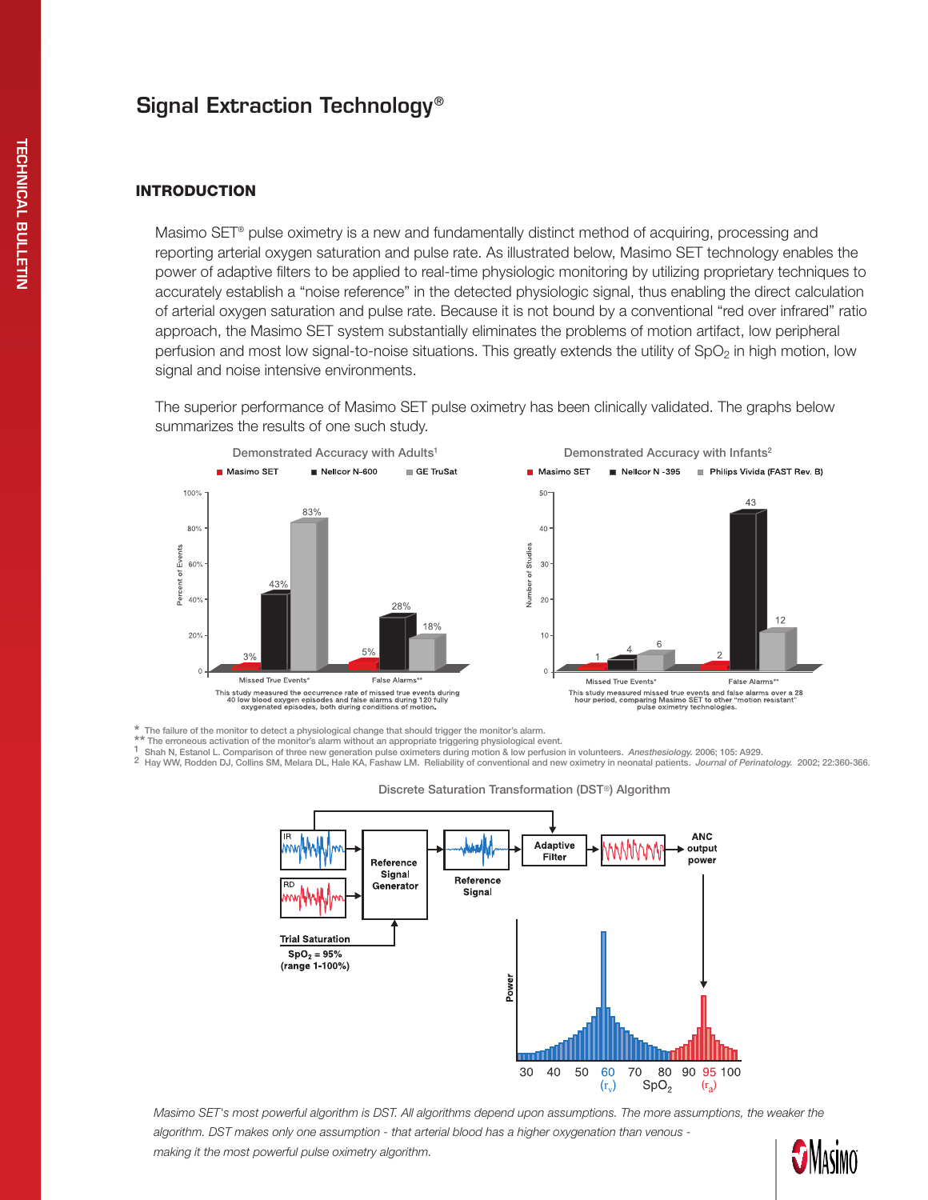# Signal Extraction Technology®

# **INTRODUCTION**

Masimo SET® pulse oximetry is a new and fundamentally distinct method of acquiring, processing and reporting arterial oxygen saturation and pulse rate. As illustrated below, Masimo SET technology enables the power of adaptive filters to be applied to real-time physiologic monitoring by utilizing proprietary techniques to accurately establish a "noise reference" in the detected physiologic signal, thus enabling the direct calculation of arterial oxygen saturation and pulse rate. Because it is not bound by a conventional "red over infrared" ratio approach, the Masimo SET system substantially eliminates the problems of motion artifact, low peripheral perfusion and most low signal-to-noise situations. This greatly extends the utility of  $SpO<sub>2</sub>$  in high motion, low signal and noise intensive environments.

The superior performance of Masimo SET pulse oximetry has been clinically validated. The graphs below summarizes the results of one such study.





\* The failure of the monitor to detect a physiological change that should trigger the monitor's alarm.<br>\*\* The erroneous activation of the monitor's alarm without an appropriate triggering physiological event.

<sup>1</sup> Shah N, Estanol L. Comparison of three new generation pulse oximeters during motion & low perfusion in volunteers. Anesthesiology. 2006; 105: A929.<br><sup>2</sup> Hay WW, Rodden DJ, Collins SM, Melara DL, Hale KA, Fashaw LM. Reli



#### Discrete Saturation Transformation (DST®) Algorithm

*Masimo SET's most powerful algorithm is DST. All algorithms depend upon assumptions. The more assumptions, the weaker the algorithm. DST makes only one assumption - that arterial blood has a higher oxygenation than venous making it the most powerful pulse oximetry algorithm.*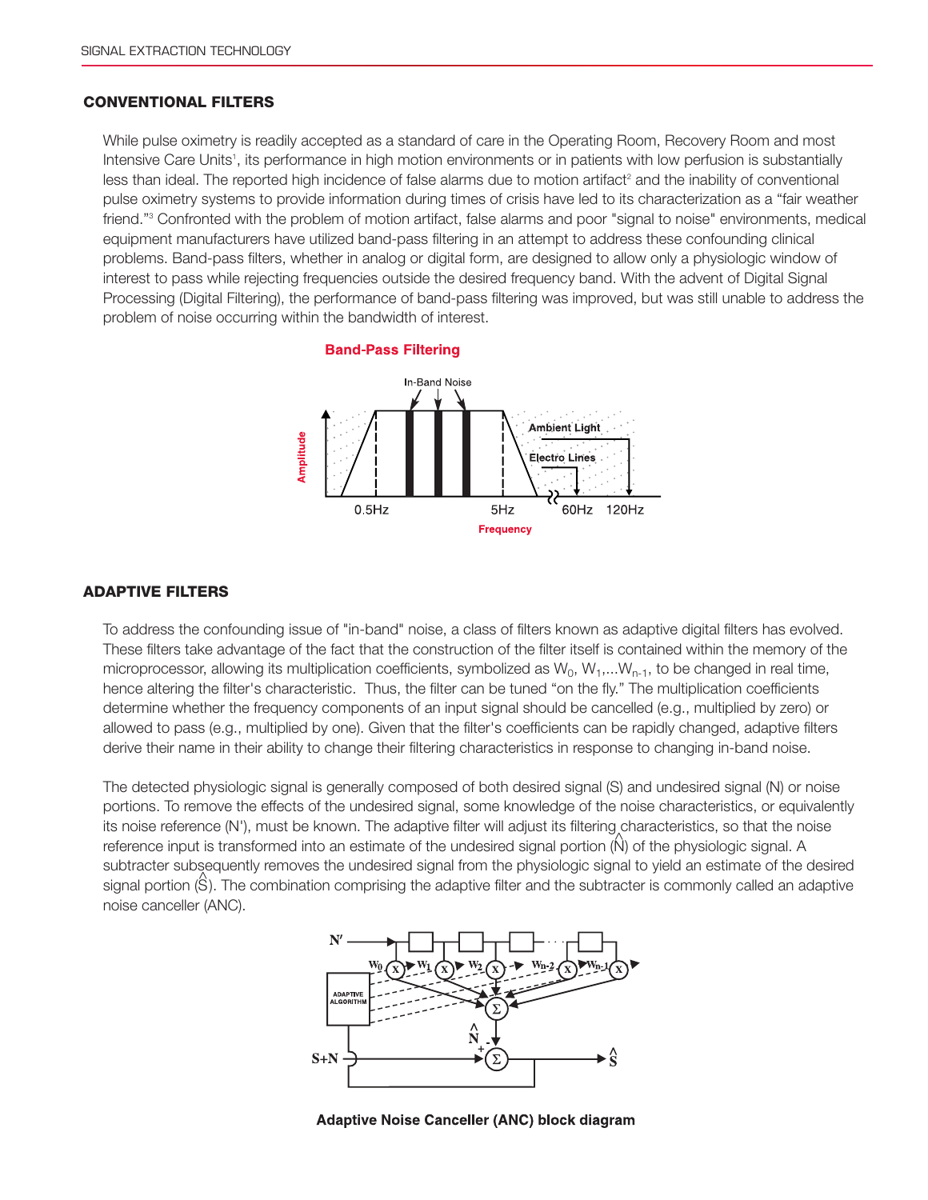## Conventional Filters

While pulse oximetry is readily accepted as a standard of care in the Operating Room, Recovery Room and most Intensive Care Units<sup>1</sup>, its performance in high motion environments or in patients with low perfusion is substantially less than ideal. The reported high incidence of false alarms due to motion artifact<sup>2</sup> and the inability of conventional pulse oximetry systems to provide information during times of crisis have led to its characterization as a "fair weather friend."<sup>3</sup> Confronted with the problem of motion artifact, false alarms and poor "signal to noise" environments, medical equipment manufacturers have utilized band-pass filtering in an attempt to address these confounding clinical problems. Band-pass filters, whether in analog or digital form, are designed to allow only a physiologic window of interest to pass while rejecting frequencies outside the desired frequency band. With the advent of Digital Signal Processing (Digital Filtering), the performance of band-pass filtering was improved, but was still unable to address the problem of noise occurring within the bandwidth of interest.

#### **Band-Pass Filtering**



### Adaptive Filters

To address the confounding issue of "in-band" noise, a class of filters known as adaptive digital filters has evolved. These filters take advantage of the fact that the construction of the filter itself is contained within the memory of the microprocessor, allowing its multiplication coefficients, symbolized as  $W_0, W_1,...W_{n-1}$ , to be changed in real time, hence altering the filter's characteristic. Thus, the filter can be tuned "on the fly." The multiplication coefficients determine whether the frequency components of an input signal should be cancelled (e.g., multiplied by zero) or allowed to pass (e.g., multiplied by one). Given that the filter's coefficients can be rapidly changed, adaptive filters derive their name in their ability to change their filtering characteristics in response to changing in-band noise.

The detected physiologic signal is generally composed of both desired signal (S) and undesired signal (N) or noise portions. To remove the effects of the undesired signal, some knowledge of the noise characteristics, or equivalently its noise reference (N'), must be known. The adaptive filter will adjust its filtering characteristics, so that the noise reference input is transformed into an estimate of the undesired signal portion (N) of the physiologic signal. A subtracter subsequently removes the undesired signal from the physiologic signal to yield an estimate of the desired signal portion (S). The combination comprising the adaptive filter and the subtracter is commonly called an adaptive noise canceller (ANC).



Adaptive Noise Canceller (ANC) block diagram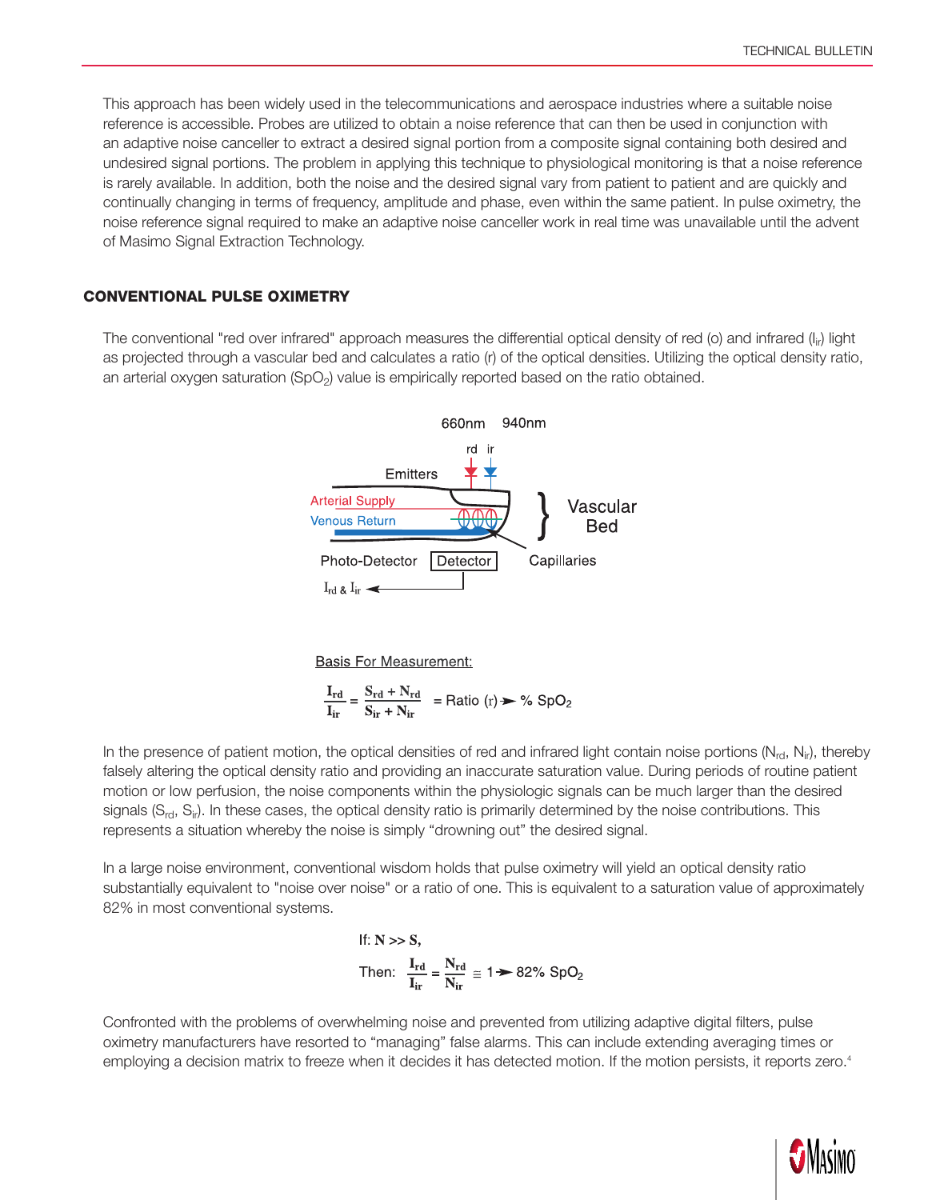This approach has been widely used in the telecommunications and aerospace industries where a suitable noise reference is accessible. Probes are utilized to obtain a noise reference that can then be used in conjunction with an adaptive noise canceller to extract a desired signal portion from a composite signal containing both desired and undesired signal portions. The problem in applying this technique to physiological monitoring is that a noise reference is rarely available. In addition, both the noise and the desired signal vary from patient to patient and are quickly and continually changing in terms of frequency, amplitude and phase, even within the same patient. In pulse oximetry, the noise reference signal required to make an adaptive noise canceller work in real time was unavailable until the advent of Masimo Signal Extraction Technology.

#### Conventional Pulse Oximetry

The conventional "red over infrared" approach measures the differential optical density of red (o) and infrared  $(I_{ir})$  light as projected through a vascular bed and calculates a ratio (r) of the optical densities. Utilizing the optical density ratio, an arterial oxygen saturation  $(SpO<sub>2</sub>)$  value is empirically reported based on the ratio obtained.



**Basis For Measurement:** 

 $\frac{\mathbf{I}_{\rm rd}}{\mathbf{I}_{\rm ir}} = \frac{\mathbf{S}_{\rm rd} + \mathbf{N}_{\rm rd}}{\mathbf{S}_{\rm ir} + \mathbf{N}_{\rm ir}}$  = Ratio (r)  $\blacktriangleright \frac{9}{2}$  SpO<sub>2</sub>

In the presence of patient motion, the optical densities of red and infrared light contain noise portions ( $N_{rd}$ ,  $N_{ir}$ ), thereby falsely altering the optical density ratio and providing an inaccurate saturation value. During periods of routine patient motion or low perfusion, the noise components within the physiologic signals can be much larger than the desired signals  $(S_{\text{rd}}, S_{\text{ir}})$ . In these cases, the optical density ratio is primarily determined by the noise contributions. This represents a situation whereby the noise is simply "drowning out" the desired signal.

In a large noise environment, conventional wisdom holds that pulse oximetry will yield an optical density ratio substantially equivalent to "noise over noise" or a ratio of one. This is equivalent to a saturation value of approximately 82% in most conventional systems.

If: N >> S,  
Then: 
$$
\frac{I_{rd}}{I_{ir}} = \frac{N_{rd}}{N_{ir}} \approx 1 \rightarrow 82\% \text{ SpO}_2
$$

employing a decision matrix to freeze when it decides it has detected motion. If the motion persists, it reports zero.<sup>4</sup> Confronted with the problems of overwhelming noise and prevented from utilizing adaptive digital filters, pulse oximetry manufacturers have resorted to "managing" false alarms. This can include extending averaging times or

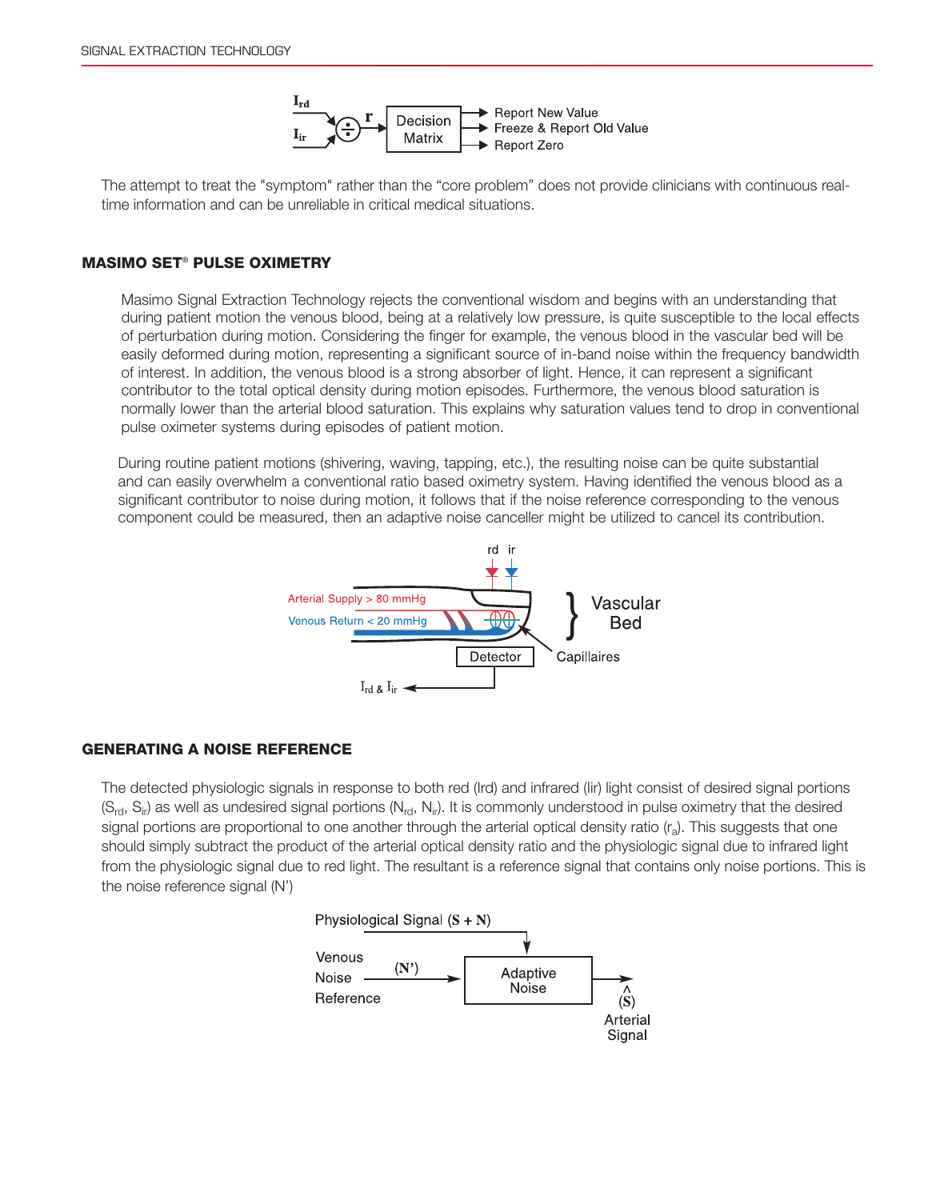

The attempt to treat the "symptom" rather than the "core problem" does not provide clinicians with continuous realtime information and can be unreliable in critical medical situations.

### Masimo SET® Pulse Oximetry

Masimo Signal Extraction Technology rejects the conventional wisdom and begins with an understanding that during patient motion the venous blood, being at a relatively low pressure, is quite susceptible to the local effects of perturbation during motion. Considering the finger for example, the venous blood in the vascular bed will be easily deformed during motion, representing a significant source of in-band noise within the frequency bandwidth of interest. In addition, the venous blood is a strong absorber of light. Hence, it can represent a significant contributor to the total optical density during motion episodes. Furthermore, the venous blood saturation is normally lower than the arterial blood saturation. This explains why saturation values tend to drop in conventional pulse oximeter systems during episodes of patient motion.

During routine patient motions (shivering, waving, tapping, etc.), the resulting noise can be quite substantial and can easily overwhelm a conventional ratio based oximetry system. Having identified the venous blood as a significant contributor to noise during motion, it follows that if the noise reference corresponding to the venous component could be measured, then an adaptive noise canceller might be utilized to cancel its contribution.



#### Generating a Noise Reference

The detected physiologic signals in response to both red (Ird) and infrared (Iir) light consist of desired signal portions  $(S_{rd}, S_{ir})$  as well as undesired signal portions  $(N_{rd}, N_{ir})$ . It is commonly understood in pulse oximetry that the desired signal portions are proportional to one another through the arterial optical density ratio  $(r_a)$ . This suggests that one should simply subtract the product of the arterial optical density ratio and the physiologic signal due to infrared light from the physiologic signal due to red light. The resultant is a reference signal that contains only noise portions. This is the noise reference signal (N')

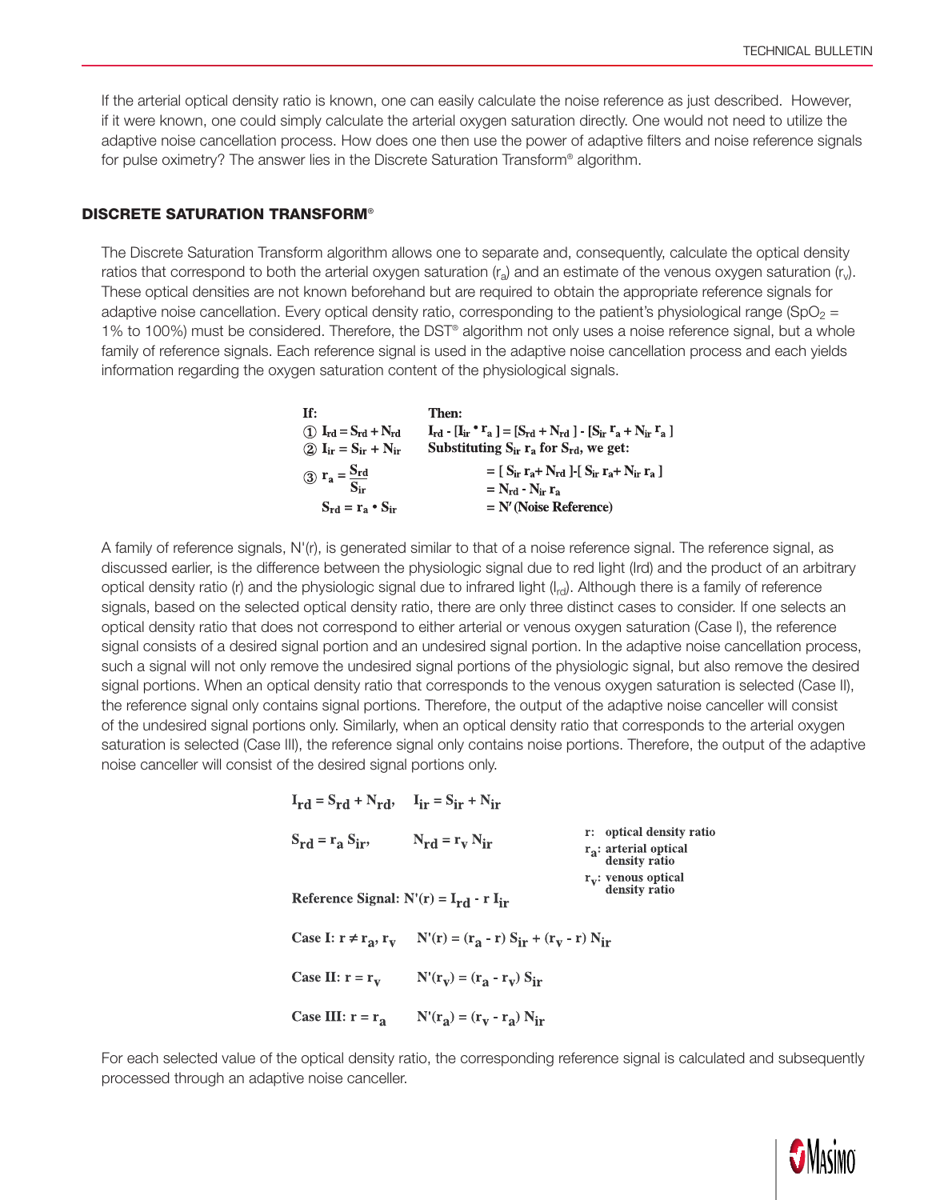If the arterial optical density ratio is known, one can easily calculate the noise reference as just described. However, if it were known, one could simply calculate the arterial oxygen saturation directly. One would not need to utilize the adaptive noise cancellation process. How does one then use the power of adaptive filters and noise reference signals for pulse oximetry? The answer lies in the Discrete Saturation Transform® algorithm.

#### DISCRETE SATURATION TRANSFORM®

The Discrete Saturation Transform algorithm allows one to separate and, consequently, calculate the optical density ratios that correspond to both the arterial oxygen saturation  $(r_a)$  and an estimate of the venous oxygen saturation  $(r_v)$ . These optical densities are not known beforehand but are required to obtain the appropriate reference signals for adaptive noise cancellation. Every optical density ratio, corresponding to the patient's physiological range (SpO<sub>2</sub> = 1% to 100%) must be considered. Therefore, the DST® algorithm not only uses a noise reference signal, but a whole family of reference signals. Each reference signal is used in the adaptive noise cancellation process and each yields information regarding the oxygen saturation content of the physiological signals.

> Tf: Then:  $\begin{array}{ll} \textcircled{1} \ \ I_{rd} = S_{rd} + N_{rd} & I_{rd} \ \ I_{rd} \ \ I_{dr} \ \ I_{dr} \ \ I_{dr} = S_{ir} + N_{ir} & \ \text{Substituting} \ S_{ir} \ r_a \ \ \text{for} \ S_{rd}, \ we \ get: \end{array}$  $I_{rd}$  -  $[I_{ir} \cdot r_a] = [S_{rd} + N_{rd}] - [S_{ir} r_a + N_{ir} r_a]$ (3)  $\mathbf{r}_a = \frac{\mathbf{S}_{\rm rd}}{\mathbf{S}_{\rm ir}}$ <br>  $\mathbf{S}_{\rm rd} = \mathbf{r}_a \cdot \mathbf{S}_{\rm ir}$ <br>  $\mathbf{S}_{\rm rd} = \mathbf{r}_a \cdot \mathbf{S}_{\rm ir}$ <br>  $\mathbf{S}_{\rm rd} = \mathbf{r}_a \cdot \mathbf{S}_{\rm ir}$ <br>  $\mathbf{S}_{\rm ri} = \mathbf{N}'$  (Noise Reference)

A family of reference signals, N'(r), is generated similar to that of a noise reference signal. The reference signal, as discussed earlier, is the difference between the physiologic signal due to red light (Ird) and the product of an arbitrary optical density ratio (r) and the physiologic signal due to infrared light  $(I_{rd})$ . Although there is a family of reference signals, based on the selected optical density ratio, there are only three distinct cases to consider. If one selects an optical density ratio that does not correspond to either arterial or venous oxygen saturation (Case I), the reference signal consists of a desired signal portion and an undesired signal portion. In the adaptive noise cancellation process, such a signal will not only remove the undesired signal portions of the physiologic signal, but also remove the desired signal portions. When an optical density ratio that corresponds to the venous oxygen saturation is selected (Case II), the reference signal only contains signal portions. Therefore, the output of the adaptive noise canceller will consist of the undesired signal portions only. Similarly, when an optical density ratio that corresponds to the arterial oxygen saturation is selected (Case III), the reference signal only contains noise portions. Therefore, the output of the adaptive noise canceller will consist of the desired signal portions only.

> $I_{\rm rd} = S_{\rm rd} + N_{\rm rd}$ ,  $I_{\rm ir} = S_{\rm ir} + N_{\rm ir}$ r: optical density ratio  $S_{rd} = r_a S_{ir}$ ,  $N_{rd} = r_v N_{ir}$  $r_a$ : arterial optical density ratio  $r_V$ : venous optical<br>density ratio Reference Signal:  $N'(r) = I_{rd} - r I_{ir}$ Case I:  $r \neq r_a$ ,  $r_v$   $N'(r) = (r_a - r) S_{ir} + (r_v - r) N_{ir}$ Case II:  $r = r_v$  N'( $r_v$ ) = ( $r_a - r_v$ ) S<sub>ir</sub> Case III:  $r = r_a$   $N'(r_a) = (r_v - r_a) N_{ir}$

For each selected value of the optical density ratio, the corresponding reference signal is calculated and subsequently processed through an adaptive noise canceller.

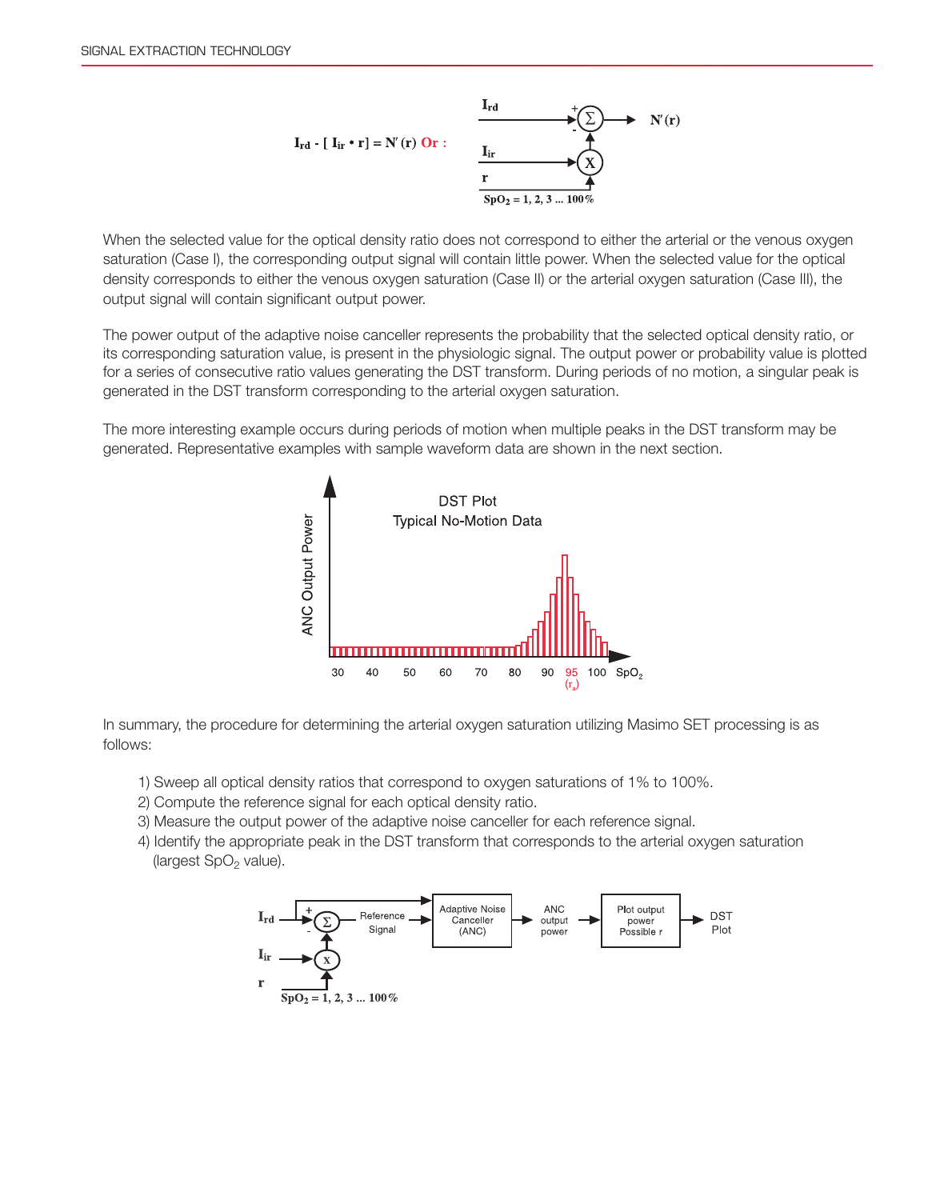

When the selected value for the optical density ratio does not correspond to either the arterial or the venous oxygen saturation (Case I), the corresponding output signal will contain little power. When the selected value for the optical density corresponds to either the venous oxygen saturation (Case II) or the arterial oxygen saturation (Case III), the output signal will contain significant output power.

The power output of the adaptive noise canceller represents the probability that the selected optical density ratio, or its corresponding saturation value, is present in the physiologic signal. The output power or probability value is plotted for a series of consecutive ratio values generating the DST transform. During periods of no motion, a singular peak is generated in the DST transform corresponding to the arterial oxygen saturation.

The more interesting example occurs during periods of motion when multiple peaks in the DST transform may be generated. Representative examples with sample waveform data are shown in the next section.



In summary, the procedure for determining the arterial oxygen saturation utilizing Masimo SET processing is as follows:

- 1) Sweep all optical density ratios that correspond to oxygen saturations of 1% to 100%.
- 2) Compute the reference signal for each optical density ratio.
- 3) Measure the output power of the adaptive noise canceller for each reference signal.
- 4) Identify the appropriate peak in the DST transform that corresponds to the arterial oxygen saturation (largest  $SpO<sub>2</sub>$  value).

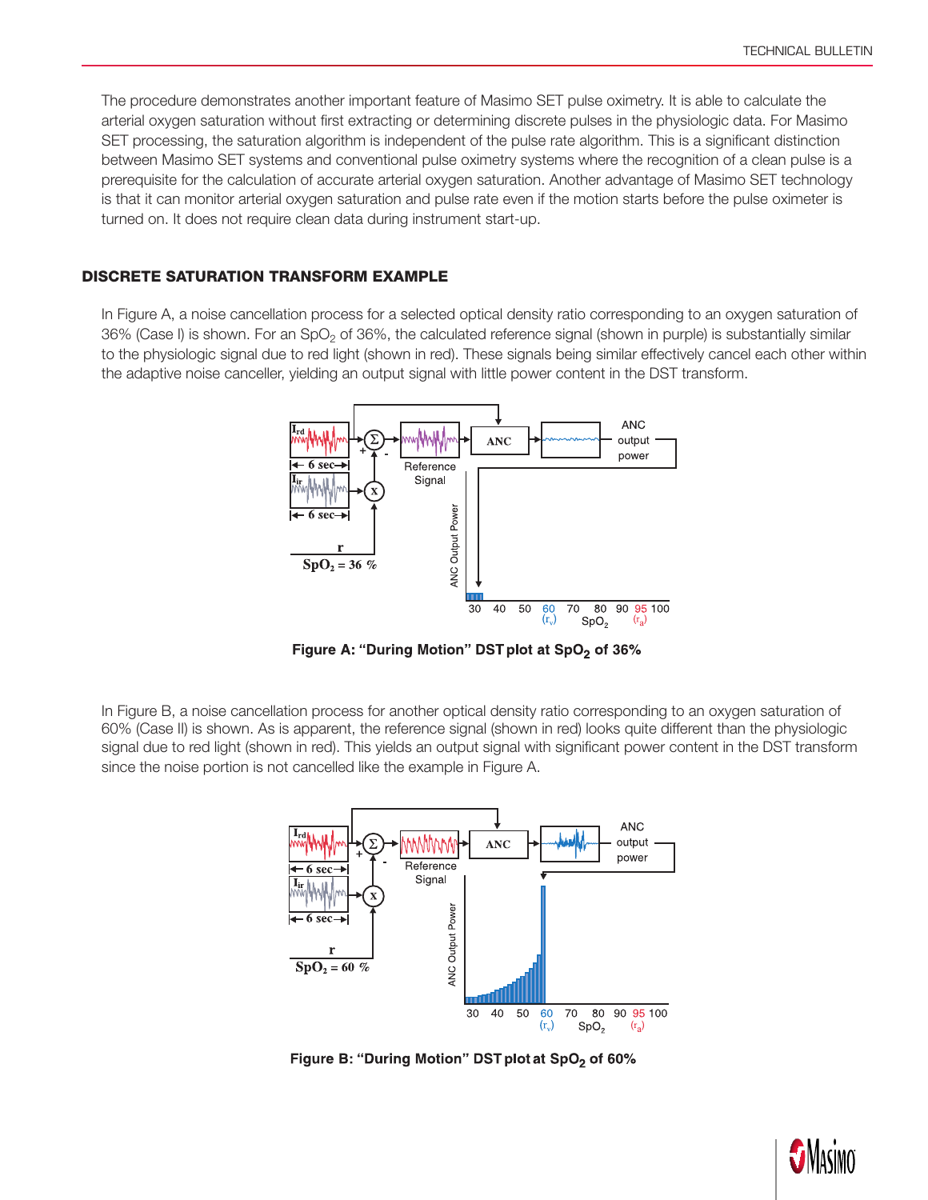The procedure demonstrates another important feature of Masimo SET pulse oximetry. It is able to calculate the arterial oxygen saturation without first extracting or determining discrete pulses in the physiologic data. For Masimo SET processing, the saturation algorithm is independent of the pulse rate algorithm. This is a significant distinction between Masimo SET systems and conventional pulse oximetry systems where the recognition of a clean pulse is a prerequisite for the calculation of accurate arterial oxygen saturation. Another advantage of Masimo SET technology is that it can monitor arterial oxygen saturation and pulse rate even if the motion starts before the pulse oximeter is turned on. It does not require clean data during instrument start-up.

#### Discrete Saturation Transform Example

In Figure A, a noise cancellation process for a selected optical density ratio corresponding to an oxygen saturation of  $36\%$  (Case I) is shown. For an SpO<sub>2</sub> of 36%, the calculated reference signal (shown in purple) is substantially similar to the physiologic signal due to red light (shown in red). These signals being similar effectively cancel each other within the adaptive noise canceller, yielding an output signal with little power content in the DST transform.



Figure A: "During Motion" DST plot at SpO<sub>2</sub> of 36%

In Figure B, a noise cancellation process for another optical density ratio corresponding to an oxygen saturation of 60% (Case II) is shown. As is apparent, the reference signal (shown in red) looks quite different than the physiologic signal due to red light (shown in red). This yields an output signal with significant power content in the DST transform since the noise portion is not cancelled like the example in Figure A.



Figure B: "During Motion" DST plot at SpO<sub>2</sub> of 60%